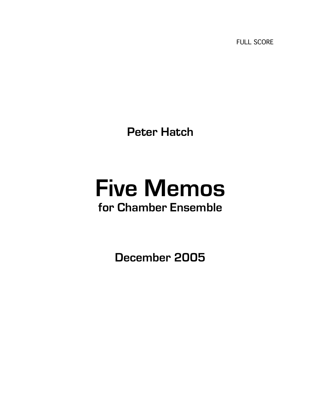FULL SCORE

**Peter Hatch**

# **Five Memos for Chamber Ensemble**

**December 2005**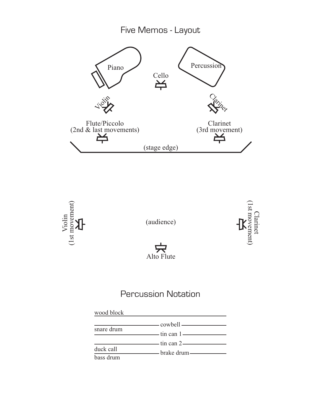## Five Memos - Layout





(audience)





### Percussion Notation

| wood block |                                                             |
|------------|-------------------------------------------------------------|
| snare drum | ______ cowbell _______<br>$\frac{1}{\frac{1}{2}}$ tin can 1 |
|            |                                                             |
| duck call  | brake drum — Theory                                         |
| bass drum  |                                                             |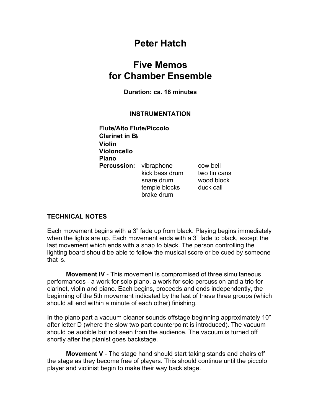### **Peter Hatch**

### **Five Memos for Chamber Ensemble**

#### **Duration: ca. 18 minutes**

#### **INSTRUMENTATION**

**Flute/Alto Flute/Piccolo Clarinet in B**b **Violin Violoncello Piano Percussion:** vibraphone cow bell kick bass drum two tin cans snare drum wood block temple blocks duck call brake drum

#### **TECHNICAL NOTES**

Each movement begins with a 3" fade up from black. Playing begins immediately when the lights are up. Each movement ends with a 3" fade to black, except the last movement which ends with a snap to black. The person controlling the lighting board should be able to follow the musical score or be cued by someone that is.

**Movement IV** - This movement is compromised of three simultaneous performances - a work for solo piano, a work for solo percussion and a trio for clarinet, violin and piano. Each begins, proceeds and ends independently, the beginning of the 5th movement indicated by the last of these three groups (which should all end within a minute of each other) finishing.

In the piano part a vacuum cleaner sounds offstage beginning approximately 10" after letter D (where the slow two part counterpoint is introduced). The vacuum should be audible but not seen from the audience. The vacuum is turned off shortly after the pianist goes backstage.

**Movement V** - The stage hand should start taking stands and chairs off the stage as they become free of players. This should continue until the piccolo player and violinist begin to make their way back stage.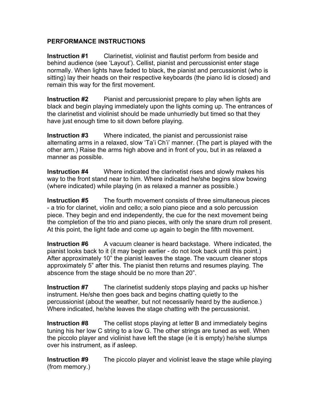#### **PERFORMANCE INSTRUCTIONS**

**Instruction #1** Clarinetist, violinist and flautist perform from beside and behind audience (see 'Layout'). Cellist, pianist and percussionist enter stage normally. When lights have faded to black, the pianist and percussionist (who is sitting) lay their heads on their respective keyboards (the piano lid is closed) and remain this way for the first movement.

**Instruction #2** Pianist and percussionist prepare to play when lights are black and begin playing immediately upon the lights coming up. The entrances of the clarinetist and violinist should be made unhurriedly but timed so that they have just enough time to sit down before playing.

**Instruction #3** Where indicated, the pianist and percussionist raise alternating arms in a relaxed, slow 'Ta'i Ch'i' manner. (The part is played with the other arm.) Raise the arms high above and in front of you, but in as relaxed a manner as possible.

**Instruction #4** Where indicated the clarinetist rises and slowly makes his way to the front stand near to him. Where indicated he/she begins slow bowing (where indicated) while playing (in as relaxed a manner as possible.)

**Instruction #5** The fourth movement consists of three simultaneous pieces - a trio for clarinet, violin and cello; a solo piano piece and a solo percussion piece. They begin and end independently, the cue for the next movement being the completion of the trio and piano pieces, with only the snare drum roll present. At this point, the light fade and come up again to begin the fifth movement.

**Instruction #6** A vacuum cleaner is heard backstage. Where indicated, the pianist looks back to it (it may begin earlier - do not look back until this point.) After approximately 10" the pianist leaves the stage. The vacuum cleaner stops approximately 5" after this. The pianist then returns and resumes playing. The abscence from the stage should be no more than 20".

**Instruction #7** The clarinetist suddenly stops playing and packs up his/her instrument. He/she then goes back and begins chatting quietly to the percussionist (about the weather, but not necessarily heard by the audience.) Where indicated, he/she leaves the stage chatting with the percussionist.

**Instruction #8** The cellist stops playing at letter B and immediately begins tuning his her low C string to a low G. The other strings are tuned as well. When the piccolo player and violinist have left the stage (ie it is empty) he/she slumps over his instrument, as if asleep.

**Instruction #9** The piccolo player and violinist leave the stage while playing (from memory.)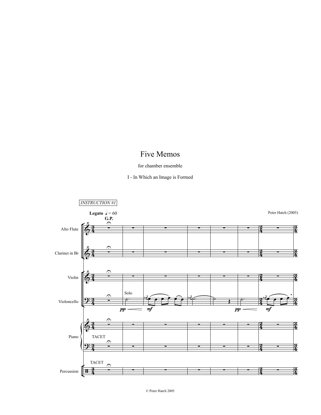### Five Memos

#### for chamber ensemble

#### I - In Which an Image is Formed

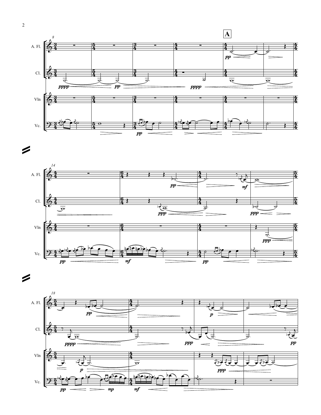





 $\geq$ 

 $\geq$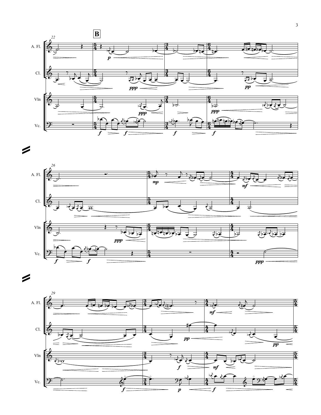



 $\overline{\phantom{a}}$ 

 $\rightarrow$ 

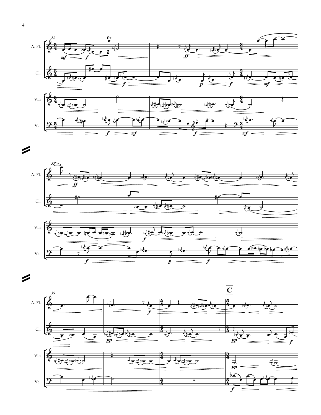



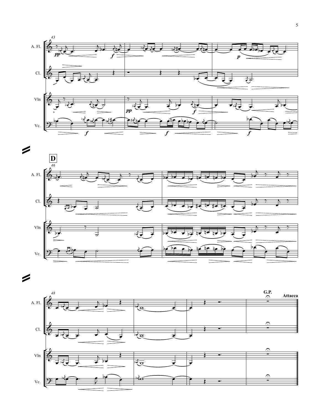



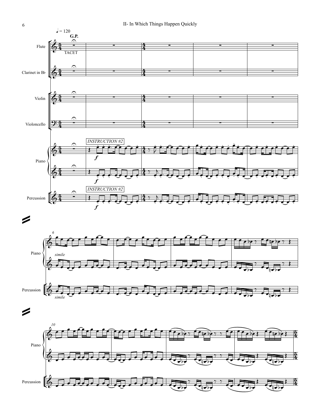





 $\sqrt{6}$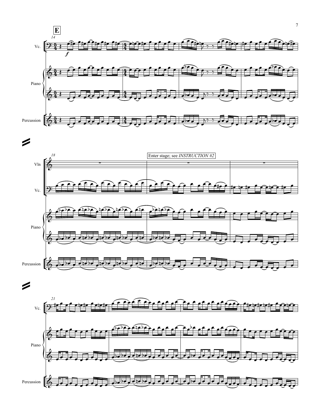



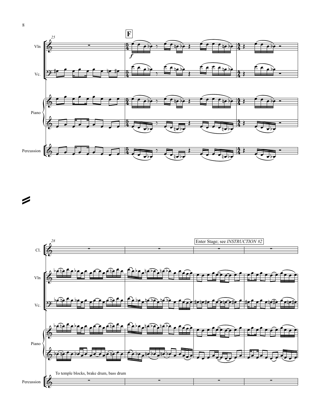





 $\,8\,$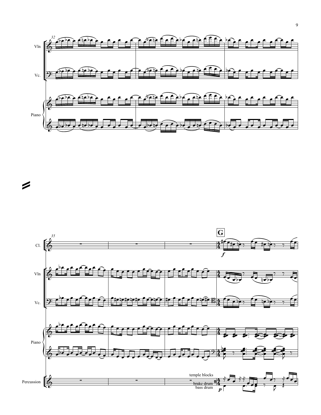

 $\blacktriangleright$ 

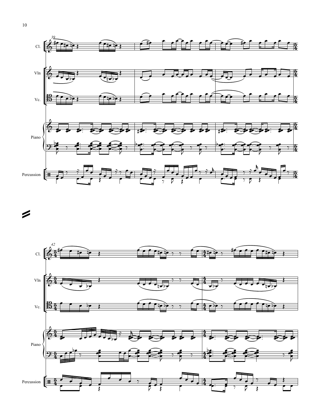

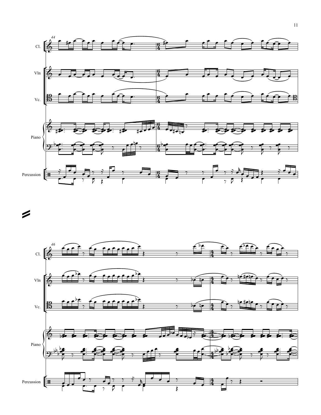

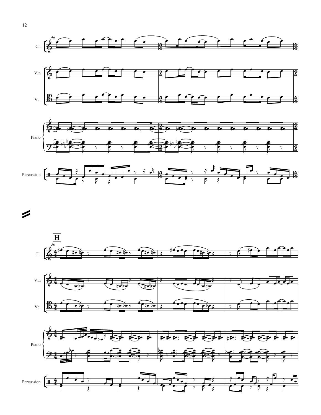

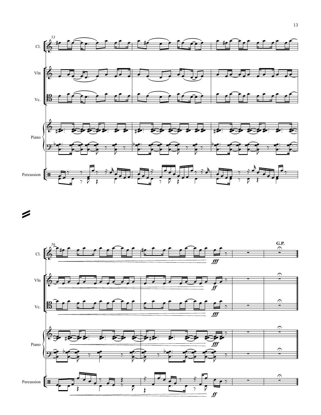

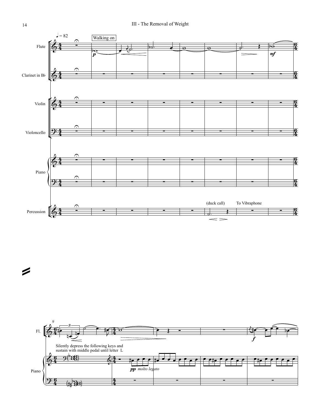



 $\rightarrow$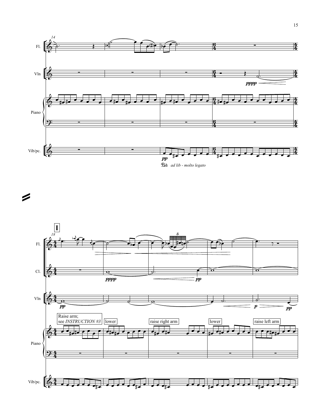

 $\blacktriangleright$ 

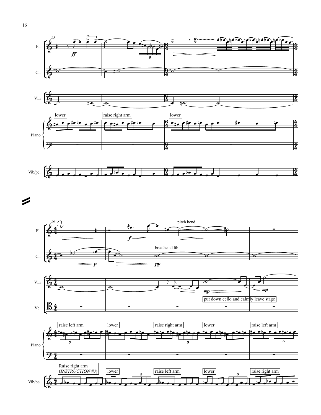



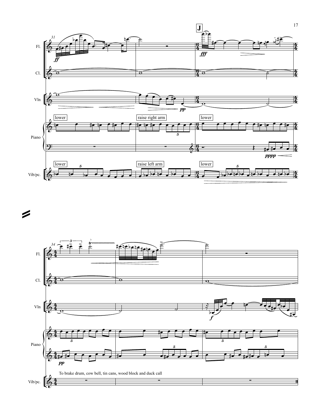



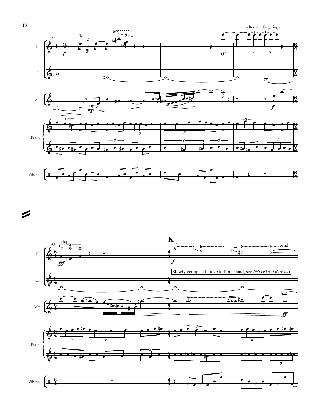



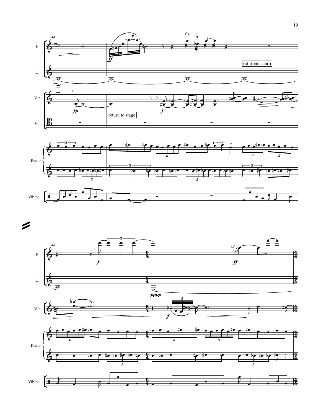

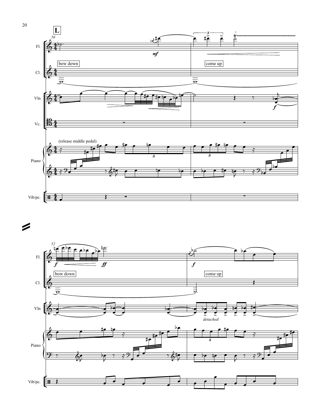



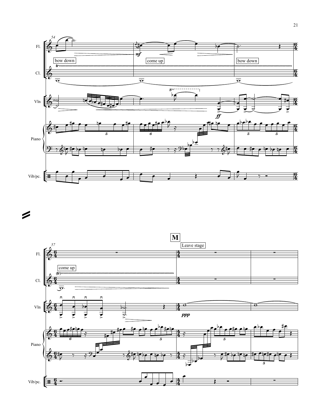

 $\rightarrow$ 

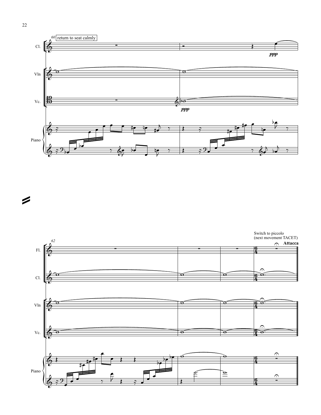



 $\frac{1}{2}$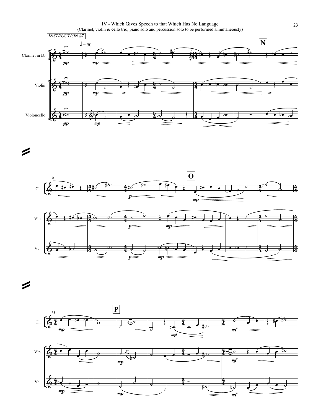

 $\overline{\phantom{a}}$ 

 $\overline{\phantom{a}}$ 



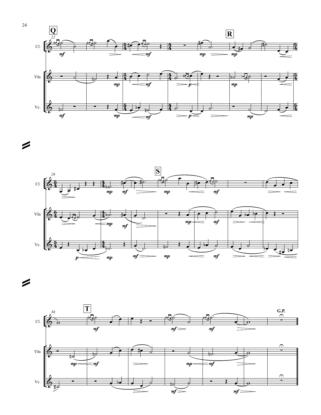





 $\boldsymbol{z}$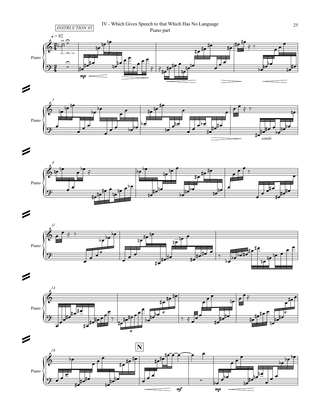









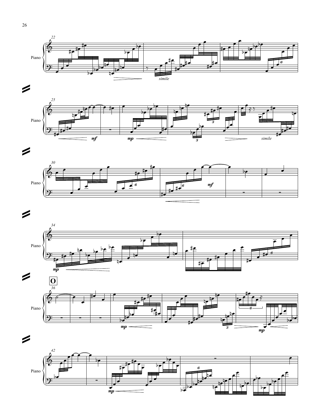









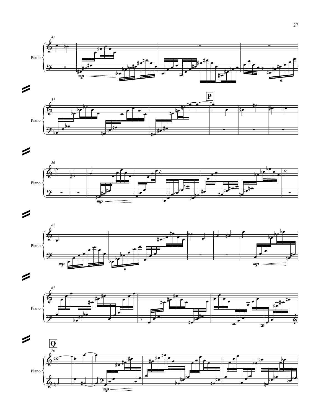









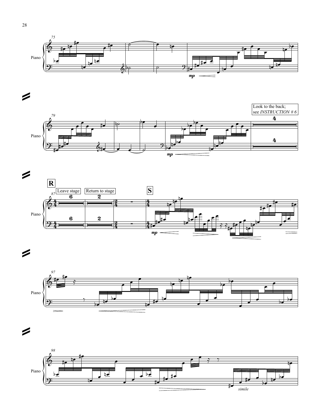







 $\overline{\phantom{a}}$ 

 $\overline{\phantom{a}}$ 

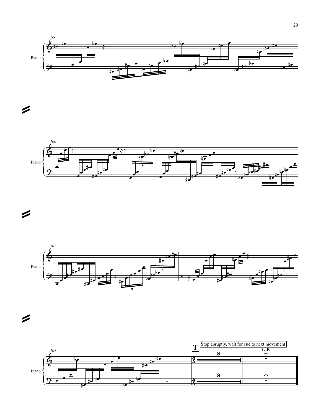











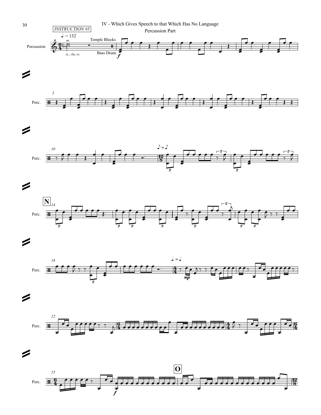

Perc.  $\frac{6}{4}$ T. S Jan J  $\Box$  $\frac{1}{\sqrt{2}}$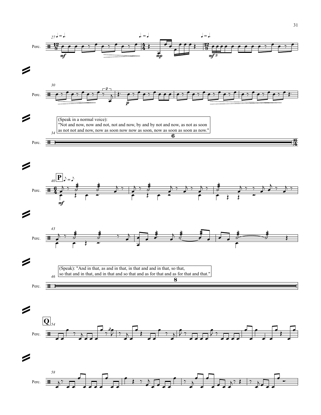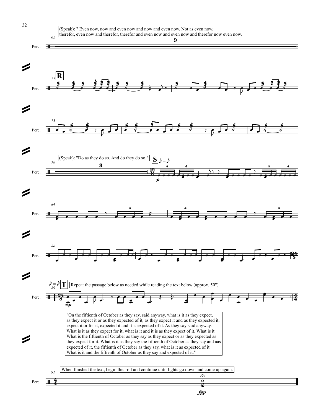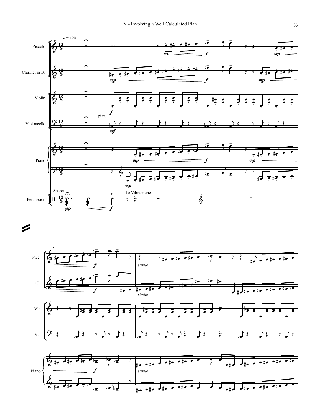

 $\frac{1}{2}$ 

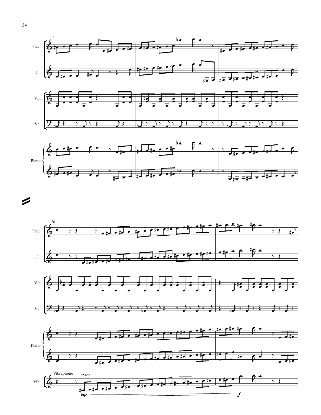



 $\rightarrow$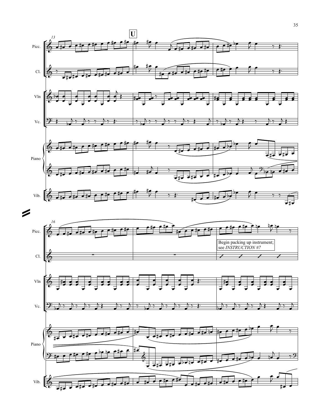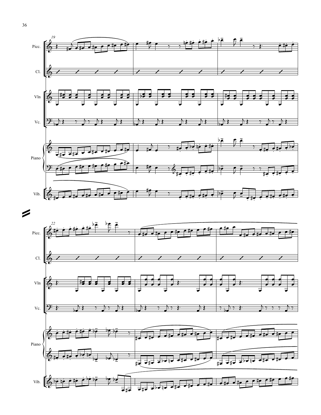

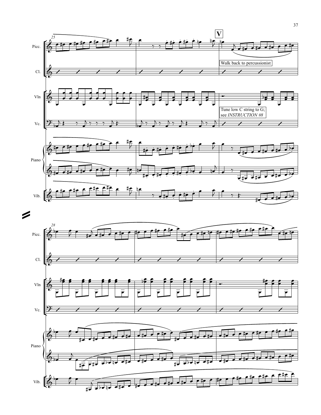

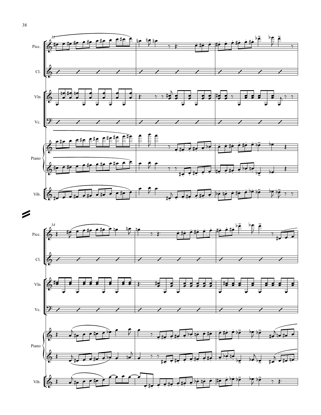

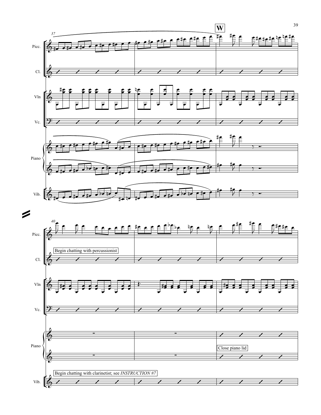





Piano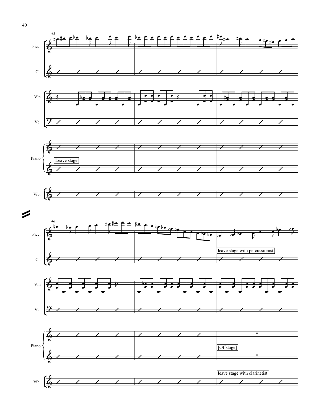

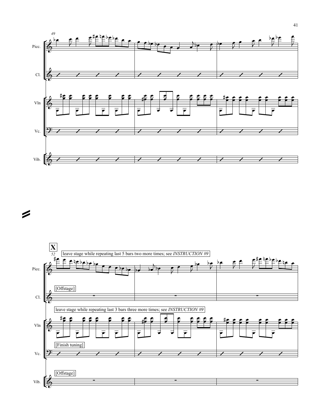